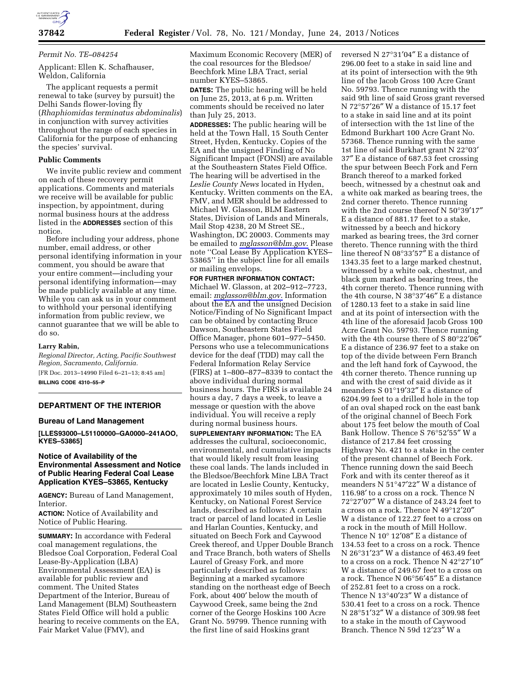

### *Permit No. TE–084254*

Applicant: Ellen K. Schafhauser, Weldon, California

The applicant requests a permit renewal to take (survey by pursuit) the Delhi Sands flower-loving fly (*Rhaphiomidas terminatus abdominalis*) in conjunction with survey activities throughout the range of each species in California for the purpose of enhancing the species' survival.

### **Public Comments**

We invite public review and comment on each of these recovery permit applications. Comments and materials we receive will be available for public inspection, by appointment, during normal business hours at the address listed in the **ADDRESSES** section of this notice.

Before including your address, phone number, email address, or other personal identifying information in your comment, you should be aware that your entire comment—including your personal identifying information—may be made publicly available at any time. While you can ask us in your comment to withhold your personal identifying information from public review, we cannot guarantee that we will be able to do so.

#### **Larry Rabin,**

*Regional Director, Acting, Pacific Southwest Region, Sacramento, California.*  [FR Doc. 2013–14990 Filed 6–21–13; 8:45 am] **BILLING CODE 4310–55–P** 

# **DEPARTMENT OF THE INTERIOR**

## **Bureau of Land Management**

**[LLES93000–L51100000–GA0000–241AOO, KYES–53865]** 

## **Notice of Availability of the Environmental Assessment and Notice of Public Hearing Federal Coal Lease Application KYES–53865, Kentucky**

**AGENCY:** Bureau of Land Management, Interior.

**ACTION:** Notice of Availability and Notice of Public Hearing.

**SUMMARY:** In accordance with Federal coal management regulations, the Bledsoe Coal Corporation, Federal Coal Lease-By-Application (LBA) Environmental Assessment (EA) is available for public review and comment. The United States Department of the Interior, Bureau of Land Management (BLM) Southeastern States Field Office will hold a public hearing to receive comments on the EA, Fair Market Value (FMV), and

Maximum Economic Recovery (MER) of the coal resources for the Bledsoe/ Beechfork Mine LBA Tract, serial number KYES–53865.

**DATES:** The public hearing will be held on June 25, 2013, at 6 p.m. Written comments should be received no later than July 25, 2013.

**ADDRESSES:** The public hearing will be held at the Town Hall, 15 South Center Street, Hyden, Kentucky. Copies of the EA and the unsigned Finding of No Significant Impact (FONSI) are available at the Southeastern States Field Office. The hearing will be advertised in the *Leslie County News* located in Hyden, Kentucky. Written comments on the EA, FMV, and MER should be addressed to Michael W. Glasson, BLM Eastern States, Division of Lands and Minerals, Mail Stop 4238, 20 M Street SE., Washington, DC 20003. Comments may be emailed to *[mglasson@blm.gov](mailto:mglasson@blm.gov)*. Please note ''Coal Lease By Application KYES– 53865'' in the subject line for all emails or mailing envelops.

**FOR FURTHER INFORMATION CONTACT:**  Michael W. Glasson, at 202–912–7723, email: *[mglasson@blm.gov](mailto:mglasson@blm.gov)*. Information about the EA and the unsigned Decision Notice/Finding of No Significant Impact can be obtained by contacting Bruce Dawson, Southeastern States Field Office Manager, phone 601–977–5450. Persons who use a telecommunications device for the deaf (TDD) may call the Federal Information Relay Service (FIRS) at 1–800–877–8339 to contact the above individual during normal business hours. The FIRS is available 24 hours a day, 7 days a week, to leave a message or question with the above individual. You will receive a reply during normal business hours.

**SUPPLEMENTARY INFORMATION:** The EA addresses the cultural, socioeconomic, environmental, and cumulative impacts that would likely result from leasing these coal lands. The lands included in the Bledsoe/Beechfork Mine LBA Tract are located in Leslie County, Kentucky, approximately 10 miles south of Hyden, Kentucky, on National Forest Service lands, described as follows: A certain tract or parcel of land located in Leslie and Harlan Counties, Kentucky, and situated on Beech Fork and Caywood Creek thereof, and Upper Double Branch and Trace Branch, both waters of Shells Laurel of Greasy Fork, and more particularly described as follows: Beginning at a marked sycamore standing on the northeast edge of Beech Fork, about 400′ below the mouth of Caywood Creek, same being the 2nd corner of the George Hoskins 100 Acre Grant No. 59799. Thence running with the first line of said Hoskins grant

reversed N 27°31′04″ E a distance of 296.00 feet to a stake in said line and at its point of intersection with the 9th line of the Jacob Gross 100 Acre Grant No. 59793. Thence running with the said 9th line of said Gross grant reversed N 72°57′26″ W a distance of 15.17 feet to a stake in said line and at its point of intersection with the 1st line of the Edmond Burkhart 100 Acre Grant No. 57368. Thence running with the same 1st line of said Burkhart grant N 22°03′ 37″ E a distance of 687.53 feet crossing the spur between Beech Fork and Fern Branch thereof to a marked forked beech, witnessed by a chestnut oak and a white oak marked as bearing trees, the 2nd corner thereto. Thence running with the 2nd course thereof N 50°39′17″ E a distance of 881.17 feet to a stake, witnessed by a beech and hickory marked as bearing trees, the 3rd corner thereto. Thence running with the third line thereof N 08°33′57″ E a distance of 1343.35 feet to a large marked chestnut, witnessed by a white oak, chestnut, and black gum marked as bearing trees, the 4th corner thereto. Thence running with the 4th course, N 38°37′46″ E a distance of 1280.13 feet to a stake in said line and at its point of intersection with the 4th line of the aforesaid Jacob Gross 100 Acre Grant No. 59793. Thence running with the 4th course there of S 80°22′06″ E a distance of 236.97 feet to a stake on top of the divide between Fern Branch and the left hand fork of Caywood, the 4th corner thereto. Thence running up and with the crest of said divide as it meanders S 01°19′32″ E a distance of 6204.99 feet to a drilled hole in the top of an oval shaped rock on the east bank of the original channel of Beech Fork about 175 feet below the mouth of Coal Bank Hollow. Thence S 76°52′55″ W a distance of 217.84 feet crossing Highway No. 421 to a stake in the center of the present channel of Beech Fork. Thence running down the said Beech Fork and with its center thereof as it meanders N 51°47′22″ W a distance of 116.98′ to a cross on a rock. Thence N 72°27′07″ W a distance of 243.24 feet to a cross on a rock. Thence N 49°12′20″ W a distance of 122.27 feet to a cross on a rock in the mouth of Mill Hollow. Thence N 10° 12′08″ E a distance of 134.53 feet to a cross on a rock. Thence N 26°31′23″ W a distance of 463.49 feet to a cross on a rock. Thence N 42°27′10″ W a distance of 249.67 feet to a cross on a rock. Thence N 06°56′45″ E a distance of 252.81 feet to a cross on a rock. Thence N 13°40′23″ W a distance of 530.41 feet to a cross on a rock. Thence N 28°51′32″ W a distance of 309.98 feet to a stake in the mouth of Caywood Branch. Thence N 59d 12′23″ W a